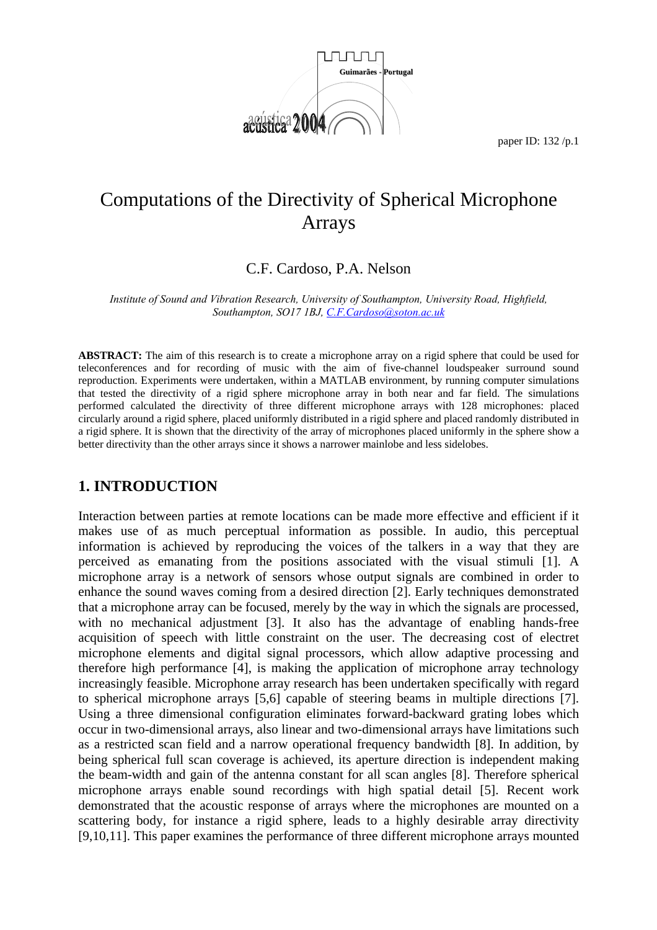

# Computations of the Directivity of Spherical Microphone Arrays

C.F. Cardoso, P.A. Nelson

*Institute of Sound and Vibration Research, University of Southampton, University Road, Highfield, Southampton, SO17 1BJ, C.F.Cardoso@soton.ac.uk*

**ABSTRACT:** The aim of this research is to create a microphone array on a rigid sphere that could be used for teleconferences and for recording of music with the aim of five-channel loudspeaker surround sound reproduction. Experiments were undertaken, within a MATLAB environment, by running computer simulations that tested the directivity of a rigid sphere microphone array in both near and far field. The simulations performed calculated the directivity of three different microphone arrays with 128 microphones: placed circularly around a rigid sphere, placed uniformly distributed in a rigid sphere and placed randomly distributed in a rigid sphere. It is shown that the directivity of the array of microphones placed uniformly in the sphere show a better directivity than the other arrays since it shows a narrower mainlobe and less sidelobes.

# **1. INTRODUCTION**

Interaction between parties at remote locations can be made more effective and efficient if it makes use of as much perceptual information as possible. In audio, this perceptual information is achieved by reproducing the voices of the talkers in a way that they are perceived as emanating from the positions associated with the visual stimuli [1]. A microphone array is a network of sensors whose output signals are combined in order to enhance the sound waves coming from a desired direction [2]. Early techniques demonstrated that a microphone array can be focused, merely by the way in which the signals are processed, with no mechanical adjustment [3]. It also has the advantage of enabling hands-free acquisition of speech with little constraint on the user. The decreasing cost of electret microphone elements and digital signal processors, which allow adaptive processing and therefore high performance [4], is making the application of microphone array technology increasingly feasible. Microphone array research has been undertaken specifically with regard to spherical microphone arrays [5,6] capable of steering beams in multiple directions [7]. Using a three dimensional configuration eliminates forward-backward grating lobes which occur in two-dimensional arrays, also linear and two-dimensional arrays have limitations such as a restricted scan field and a narrow operational frequency bandwidth [8]. In addition, by being spherical full scan coverage is achieved, its aperture direction is independent making the beam-width and gain of the antenna constant for all scan angles [8]. Therefore spherical microphone arrays enable sound recordings with high spatial detail [5]. Recent work demonstrated that the acoustic response of arrays where the microphones are mounted on a scattering body, for instance a rigid sphere, leads to a highly desirable array directivity [9,10,11]. This paper examines the performance of three different microphone arrays mounted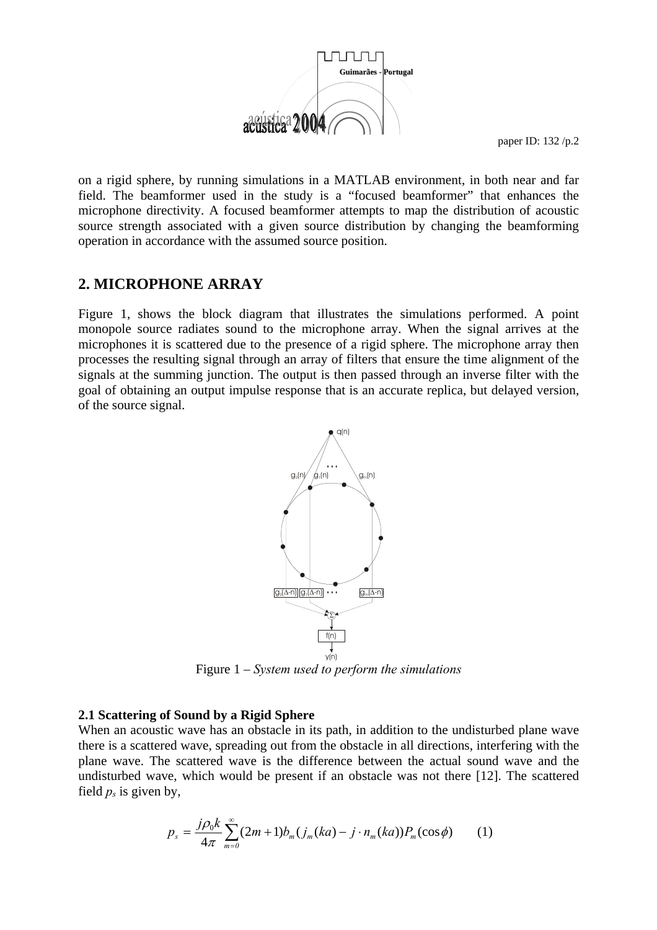

on a rigid sphere, by running simulations in a MATLAB environment, in both near and far field. The beamformer used in the study is a "focused beamformer" that enhances the microphone directivity. A focused beamformer attempts to map the distribution of acoustic source strength associated with a given source distribution by changing the beamforming operation in accordance with the assumed source position.

# **2. MICROPHONE ARRAY**

Figure 1, shows the block diagram that illustrates the simulations performed. A point monopole source radiates sound to the microphone array. When the signal arrives at the microphones it is scattered due to the presence of a rigid sphere. The microphone array then processes the resulting signal through an array of filters that ensure the time alignment of the signals at the summing junction. The output is then passed through an inverse filter with the goal of obtaining an output impulse response that is an accurate replica, but delayed version, of the source signal.



Figure 1 – *System used to perform the simulations*

### **2.1 Scattering of Sound by a Rigid Sphere**

When an acoustic wave has an obstacle in its path, in addition to the undisturbed plane wave there is a scattered wave, spreading out from the obstacle in all directions, interfering with the plane wave. The scattered wave is the difference between the actual sound wave and the undisturbed wave, which would be present if an obstacle was not there [12]. The scattered field  $p_s$  is given by,

$$
p_{s} = \frac{j\rho_{0}k}{4\pi} \sum_{m=0}^{\infty} (2m+1)b_{m}(j_{m}(ka) - j \cdot n_{m}(ka))P_{m}(\cos\phi)
$$
 (1)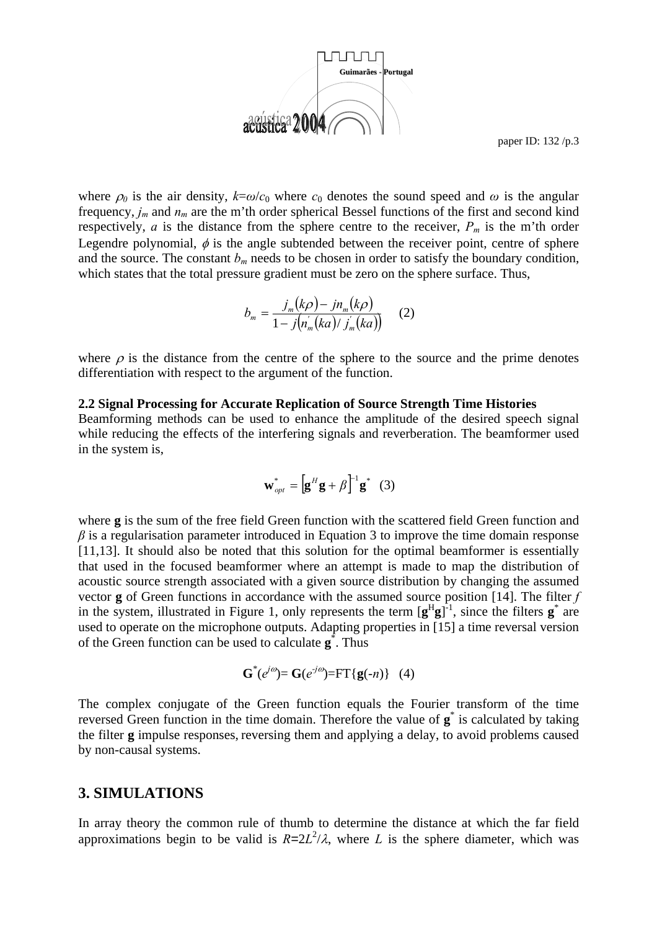

where  $\rho_0$  is the air density,  $k=\omega/c_0$  where  $c_0$  denotes the sound speed and  $\omega$  is the angular frequency, *jm* and *nm* are the m'th order spherical Bessel functions of the first and second kind respectively,  $a$  is the distance from the sphere centre to the receiver,  $P_m$  is the m'th order Legendre polynomial,  $\phi$  is the angle subtended between the receiver point, centre of sphere and the source. The constant  $b_m$  needs to be chosen in order to satisfy the boundary condition, which states that the total pressure gradient must be zero on the sphere surface. Thus,

$$
b_m = \frac{j_m(k\rho) - j n_m(k\rho)}{1 - j(n_m'(ka)/j_m'(ka))}
$$
 (2)

where  $\rho$  is the distance from the centre of the sphere to the source and the prime denotes differentiation with respect to the argument of the function.

#### **2.2 Signal Processing for Accurate Replication of Source Strength Time Histories**

Beamforming methods can be used to enhance the amplitude of the desired speech signal while reducing the effects of the interfering signals and reverberation. The beamformer used in the system is,

$$
\mathbf{w}_{opt}^* = \left[\mathbf{g}^H \mathbf{g} + \beta\right]^{-1} \mathbf{g}^* \quad (3)
$$

where **g** is the sum of the free field Green function with the scattered field Green function and  $\beta$  is a regularisation parameter introduced in Equation 3 to improve the time domain response [11,13]. It should also be noted that this solution for the optimal beamformer is essentially that used in the focused beamformer where an attempt is made to map the distribution of acoustic source strength associated with a given source distribution by changing the assumed vector **g** of Green functions in accordance with the assumed source position [14]. The filter *f* in the system, illustrated in Figure 1, only represents the term  $[g^Hg]^{-1}$ , since the filters  $g^*$  are used to operate on the microphone outputs. Adapting properties in [15] a time reversal version of the Green function can be used to calculate **g**\* . Thus

$$
G^*(e^{j\omega}) = G(e^{j\omega}) = FT\{g(-n)\} (4)
$$

The complex conjugate of the Green function equals the Fourier transform of the time reversed Green function in the time domain. Therefore the value of **g**\* is calculated by taking the filter **g** impulse responses, reversing them and applying a delay, to avoid problems caused by non-causal systems.

### **3. SIMULATIONS**

In array theory the common rule of thumb to determine the distance at which the far field approximations begin to be valid is  $R=2L^2/\lambda$ , where *L* is the sphere diameter, which was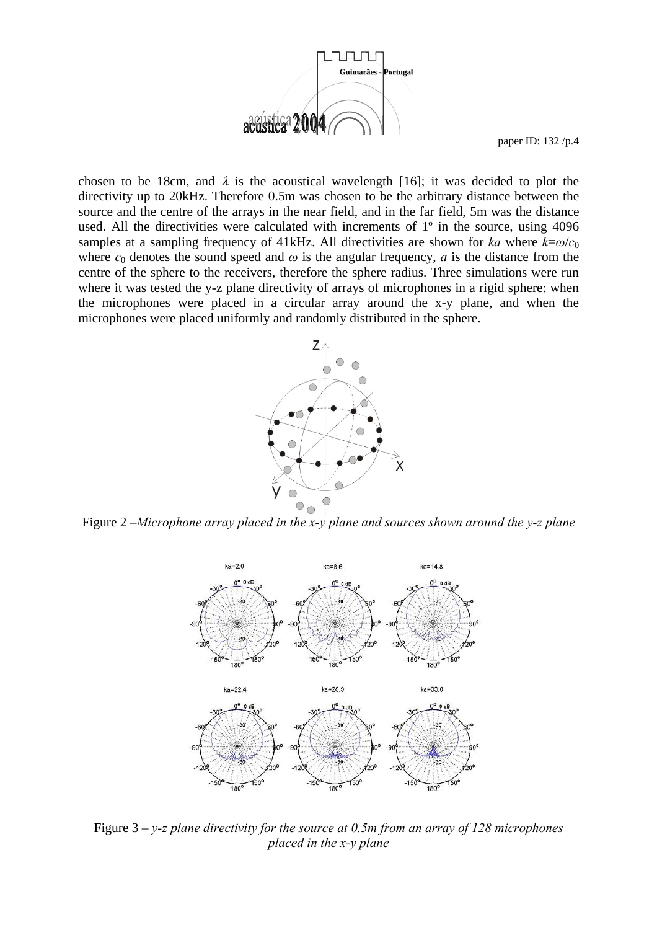

chosen to be 18cm, and  $\lambda$  is the acoustical wavelength [16]; it was decided to plot the directivity up to 20kHz. Therefore 0.5m was chosen to be the arbitrary distance between the source and the centre of the arrays in the near field, and in the far field, 5m was the distance used. All the directivities were calculated with increments of 1º in the source, using 4096 samples at a sampling frequency of 41kHz. All directivities are shown for *ka* where  $k=\omega/c_0$ where  $c_0$  denotes the sound speed and  $\omega$  is the angular frequency, *a* is the distance from the centre of the sphere to the receivers, therefore the sphere radius. Three simulations were run where it was tested the y-z plane directivity of arrays of microphones in a rigid sphere: when the microphones were placed in a circular array around the x-y plane, and when the microphones were placed uniformly and randomly distributed in the sphere.



Figure 2 –*Microphone array placed in the x-y plane and sources shown around the y-z plane* 



Figure 3 – *y-z plane directivity for the source at 0.5m from an array of 128 microphones placed in the x-y plane*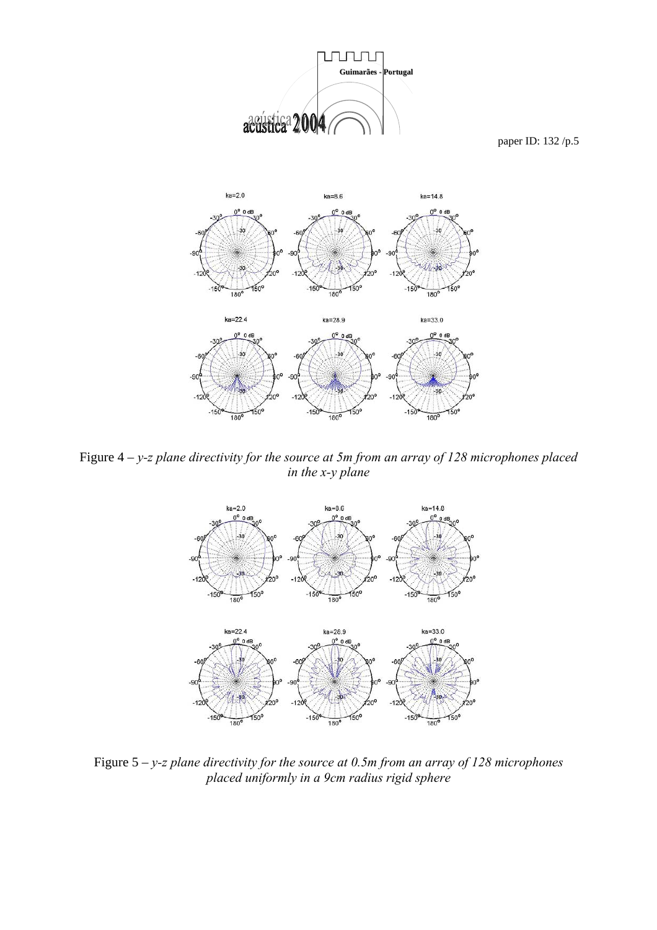

Figure 4 – *y-z plane directivity for the source at 5m from an array of 128 microphones placed in the x-y plane* 



Figure 5 – *y-z plane directivity for the source at 0.5m from an array of 128 microphones placed uniformly in a 9cm radius rigid sphere*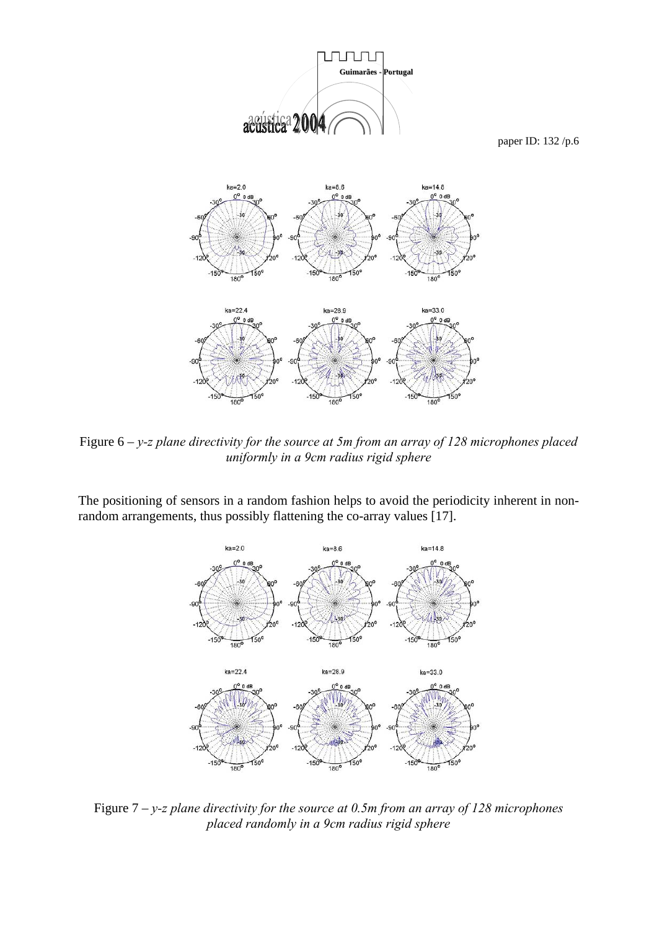

Figure 6 – *y-z plane directivity for the source at 5m from an array of 128 microphones placed uniformly in a 9cm radius rigid sphere* 

The positioning of sensors in a random fashion helps to avoid the periodicity inherent in nonrandom arrangements, thus possibly flattening the co-array values [17].



Figure 7 – *y-z plane directivity for the source at 0.5m from an array of 128 microphones placed randomly in a 9cm radius rigid sphere*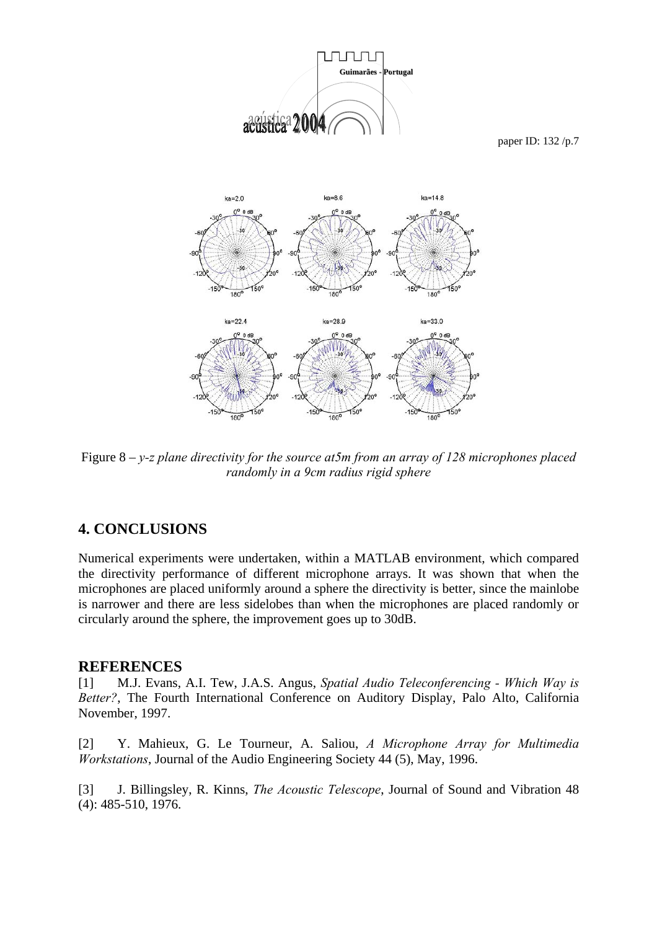

Figure 8 – *y-z plane directivity for the source at5m from an array of 128 microphones placed randomly in a 9cm radius rigid sphere* 

# **4. CONCLUSIONS**

Numerical experiments were undertaken, within a MATLAB environment, which compared the directivity performance of different microphone arrays. It was shown that when the microphones are placed uniformly around a sphere the directivity is better, since the mainlobe is narrower and there are less sidelobes than when the microphones are placed randomly or circularly around the sphere, the improvement goes up to 30dB.

### **REFERENCES**

[1] M.J. Evans, A.I. Tew, J.A.S. Angus, *Spatial Audio Teleconferencing - Which Way is Better?*, The Fourth International Conference on Auditory Display, Palo Alto, California November, 1997.

[2] Y. Mahieux, G. Le Tourneur, A. Saliou, *A Microphone Array for Multimedia Workstations*, Journal of the Audio Engineering Society 44 (5), May, 1996.

[3] J. Billingsley, R. Kinns, *The Acoustic Telescope*, Journal of Sound and Vibration 48 (4): 485-510, 1976.